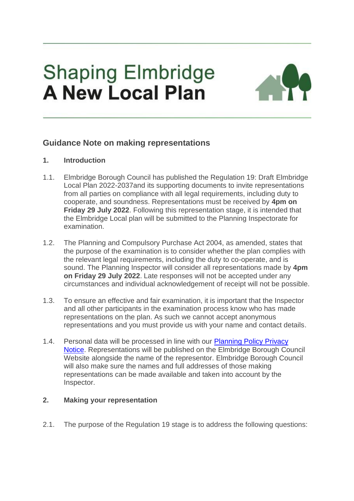# **Shaping Elmbridge A New Local Plan**



# **Guidance Note on making representations**

# **1. Introduction**

- 1.1. Elmbridge Borough Council has published the Regulation 19: Draft Elmbridge Local Plan 2022-2037and its supporting documents to invite representations from all parties on compliance with all legal requirements, including duty to cooperate, and soundness. Representations must be received by **4pm on Friday 29 July 2022**. Following this representation stage, it is intended that the Elmbridge Local plan will be submitted to the Planning Inspectorate for examination.
- 1.2. The Planning and Compulsory Purchase Act 2004, as amended, states that the purpose of the examination is to consider whether the plan complies with the relevant legal requirements, including the duty to co-operate, and is sound. The Planning Inspector will consider all representations made by **4pm on Friday 29 July 2022**. Late responses will not be accepted under any circumstances and individual acknowledgement of receipt will not be possible.
- 1.3. To ensure an effective and fair examination, it is important that the Inspector and all other participants in the examination process know who has made representations on the plan. As such we cannot accept anonymous representations and you must provide us with your name and contact details.
- 1.4. Personal data will be processed in line with our [Planning Policy Privacy](https://www.elmbridge.gov.uk/privacy-notices/planning-services/planning-policy/)  [Notice.](https://www.elmbridge.gov.uk/privacy-notices/planning-services/planning-policy/) Representations will be published on the Elmbridge Borough Council Website alongside the name of the representor. Elmbridge Borough Council will also make sure the names and full addresses of those making representations can be made available and taken into account by the Inspector.

# **2. Making your representation**

2.1. The purpose of the Regulation 19 stage is to address the following questions: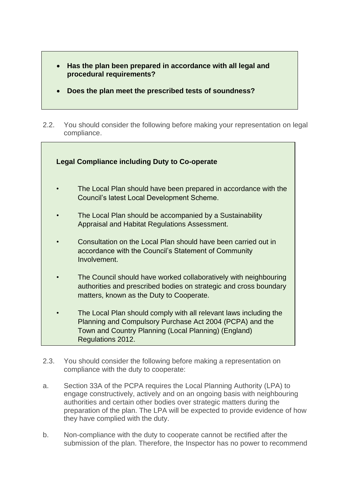- **Has the plan been prepared in accordance with all legal and procedural requirements?**
- **Does the plan meet the prescribed tests of soundness?**
- 2.2. You should consider the following before making your representation on legal compliance.



- 2.3. You should consider the following before making a representation on compliance with the duty to cooperate:
- a. Section 33A of the PCPA requires the Local Planning Authority (LPA) to engage constructively, actively and on an ongoing basis with neighbouring authorities and certain other bodies over strategic matters during the preparation of the plan. The LPA will be expected to provide evidence of how they have complied with the duty.
- b. Non-compliance with the duty to cooperate cannot be rectified after the submission of the plan. Therefore, the Inspector has no power to recommend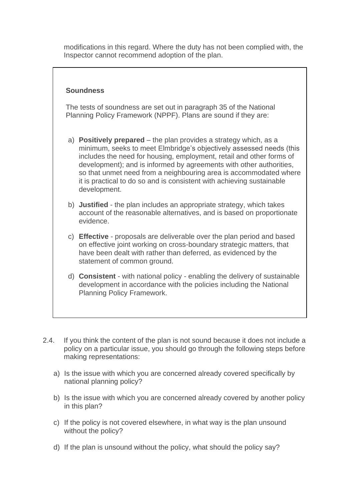modifications in this regard. Where the duty has not been complied with, the Inspector cannot recommend adoption of the plan.

#### **Soundness**

The tests of soundness are set out in paragraph 35 of the National Planning Policy Framework (NPPF). Plans are sound if they are:

- a) **Positively prepared** the plan provides a strategy which, as a minimum, seeks to meet Elmbridge's objectively assessed needs (this includes the need for housing, employment, retail and other forms of development); and is informed by agreements with other authorities, so that unmet need from a neighbouring area is accommodated where it is practical to do so and is consistent with achieving sustainable development.
- b) **Justified** the plan includes an appropriate strategy, which takes account of the reasonable alternatives, and is based on proportionate evidence.
- c) **Effective** proposals are deliverable over the plan period and based on effective joint working on cross-boundary strategic matters, that have been dealt with rather than deferred, as evidenced by the statement of common ground.
- d) **Consistent** with national policy enabling the delivery of sustainable development in accordance with the policies including the National Planning Policy Framework.
- 2.4. If you think the content of the plan is not sound because it does not include a policy on a particular issue, you should go through the following steps before making representations:
	- a) Is the issue with which you are concerned already covered specifically by national planning policy?
	- b) Is the issue with which you are concerned already covered by another policy in this plan?
	- c) If the policy is not covered elsewhere, in what way is the plan unsound without the policy?
	- d) If the plan is unsound without the policy, what should the policy say?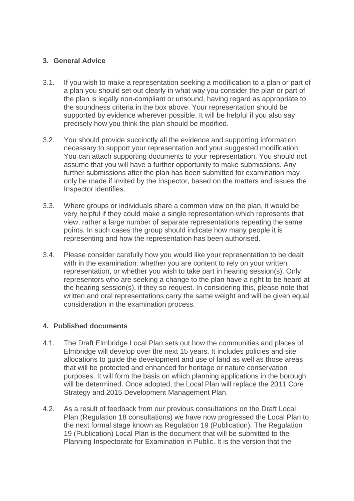# **3. General Advice**

- 3.1. If you wish to make a representation seeking a modification to a plan or part of a plan you should set out clearly in what way you consider the plan or part of the plan is legally non-compliant or unsound, having regard as appropriate to the soundness criteria in the box above. Your representation should be supported by evidence wherever possible. It will be helpful if you also say precisely how you think the plan should be modified.
- 3.2. You should provide succinctly all the evidence and supporting information necessary to support your representation and your suggested modification. You can attach supporting documents to your representation. You should not assume that you will have a further opportunity to make submissions. Any further submissions after the plan has been submitted for examination may only be made if invited by the Inspector, based on the matters and issues the Inspector identifies.
- 3.3. Where groups or individuals share a common view on the plan, it would be very helpful if they could make a single representation which represents that view, rather a large number of separate representations repeating the same points. In such cases the group should indicate how many people it is representing and how the representation has been authorised.
- 3.4. Please consider carefully how you would like your representation to be dealt with in the examination: whether you are content to rely on your written representation, or whether you wish to take part in hearing session(s). Only representors who are seeking a change to the plan have a right to be heard at the hearing session(s), if they so request. In considering this, please note that written and oral representations carry the same weight and will be given equal consideration in the examination process.

#### **4. Published documents**

- 4.1. The Draft Elmbridge Local Plan sets out how the communities and places of Elmbridge will develop over the next 15 years. It includes policies and site allocations to guide the development and use of land as well as those areas that will be protected and enhanced for heritage or nature conservation purposes. It will form the basis on which planning applications in the borough will be determined. Once adopted, the Local Plan will replace the 2011 Core Strategy and 2015 Development Management Plan.
- 4.2. As a result of feedback from our previous consultations on the Draft Local Plan (Regulation 18 consultations) we have now progressed the Local Plan to the next formal stage known as Regulation 19 (Publication). The Regulation 19 (Publication) Local Plan is the document that will be submitted to the Planning Inspectorate for Examination in Public. It is the version that the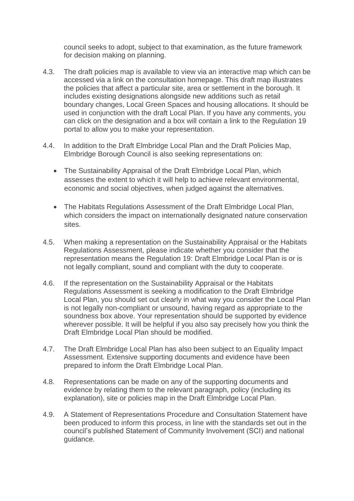council seeks to adopt, subject to that examination, as the future framework for decision making on planning.

- 4.3. The draft policies map is available to view via an interactive map which can be accessed via a link on the consultation homepage. This draft map illustrates the policies that affect a particular site, area or settlement in the borough. It includes existing designations alongside new additions such as retail boundary changes, Local Green Spaces and housing allocations. It should be used in conjunction with the draft Local Plan. If you have any comments, you can click on the designation and a box will contain a link to the Regulation 19 portal to allow you to make your representation.
- 4.4. In addition to the Draft Elmbridge Local Plan and the Draft Policies Map, Elmbridge Borough Council is also seeking representations on:
	- The Sustainability Appraisal of the Draft Elmbridge Local Plan, which assesses the extent to which it will help to achieve relevant environmental, economic and social objectives, when judged against the alternatives.
	- The Habitats Regulations Assessment of the Draft Elmbridge Local Plan, which considers the impact on internationally designated nature conservation sites.
- 4.5. When making a representation on the Sustainability Appraisal or the Habitats Regulations Assessment, please indicate whether you consider that the representation means the Regulation 19: Draft Elmbridge Local Plan is or is not legally compliant, sound and compliant with the duty to cooperate.
- 4.6. If the representation on the Sustainability Appraisal or the Habitats Regulations Assessment is seeking a modification to the Draft Elmbridge Local Plan, you should set out clearly in what way you consider the Local Plan is not legally non-compliant or unsound, having regard as appropriate to the soundness box above. Your representation should be supported by evidence wherever possible. It will be helpful if you also say precisely how you think the Draft Elmbridge Local Plan should be modified.
- 4.7. The Draft Elmbridge Local Plan has also been subject to an Equality Impact Assessment. Extensive supporting documents and evidence have been prepared to inform the Draft Elmbridge Local Plan.
- 4.8. Representations can be made on any of the supporting documents and evidence by relating them to the relevant paragraph, policy (including its explanation), site or policies map in the Draft Elmbridge Local Plan.
- 4.9. A Statement of Representations Procedure and Consultation Statement have been produced to inform this process, in line with the standards set out in the council's published Statement of Community Involvement (SCI) and national guidance.